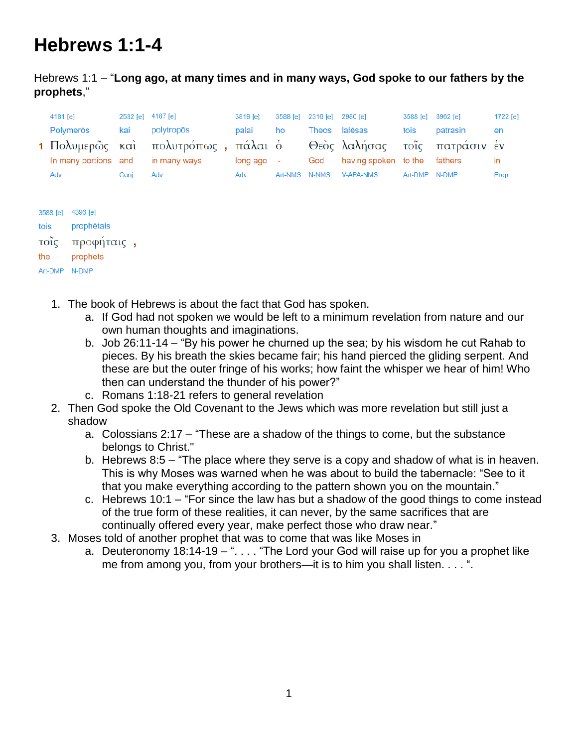# **Hebrews 1:1-4**

Hebrews 1:1 – "**Long ago, at many times and in many ways, God spoke to our fathers by the prophets**,"

| 4181 [e]             |      | 2532 [e] 4187 [e]                   | 3819 [e]               |    | 3588 [e] 2316 [e] 2980 [e] |                               | 3588 [e] 3962 [e] |          | 1722 $[e]$ |
|----------------------|------|-------------------------------------|------------------------|----|----------------------------|-------------------------------|-------------------|----------|------------|
| Polymeros            | kai  | polytropōs                          | palai                  | ho | Theos                      | lalēsas                       | tois              | patrasin | en         |
|                      |      | 1 Πολυμερῶς καὶ πολυτρόπως, πάλαι ὁ |                        |    |                            | Θεὸς λαλήσας τοῖς πατράσιν ἐν |                   |          |            |
| In many portions and |      | in many ways                        | $long \, \text{ago}$ - |    | God                        | having spoken to the fathers  |                   |          | in.        |
| Adv                  | Coni | Adv                                 | Adv                    |    |                            | Art-NMS N-NMS V-APA-NMS       | Art-DMP N-DMP     |          | Prep       |
|                      |      |                                     |                        |    |                            |                               |                   |          |            |

| 3588 [e] | 4396 [e]   |  |
|----------|------------|--|
| tois     | prophētais |  |
| τοΐς     | προφήταις, |  |
| the      | prophets   |  |
| Art-DMP  | N-DMP      |  |

- 1. The book of Hebrews is about the fact that God has spoken.
	- a. If God had not spoken we would be left to a minimum revelation from nature and our own human thoughts and imaginations.
	- b. Job 26:11-14 "By his power he churned up the sea; by his wisdom he cut Rahab to pieces. By his breath the skies became fair; his hand pierced the gliding serpent. And these are but the outer fringe of his works; how faint the whisper we hear of him! Who then can understand the thunder of his power?"
	- c. Romans 1:18-21 refers to general revelation
- 2. Then God spoke the Old Covenant to the Jews which was more revelation but still just a shadow
	- a. Colossians 2:17 "These are a shadow of the things to come, but the substance belongs to Christ."
	- b. Hebrews 8:5 "The place where they serve is a copy and shadow of what is in heaven. This is why Moses was warned when he was about to build the tabernacle: "See to it that you make everything according to the pattern shown you on the mountain."
	- c. Hebrews 10:1 "For since the law has but a shadow of the good things to come instead of the true form of these realities, it can never, by the same sacrifices that are continually offered every year, make perfect those who draw near."
- 3. Moses told of another prophet that was to come that was like Moses in
	- a. Deuteronomy  $18:14-19-$ "... "The Lord your God will raise up for you a prophet like me from among you, from your brothers—it is to him you shall listen. . . . ".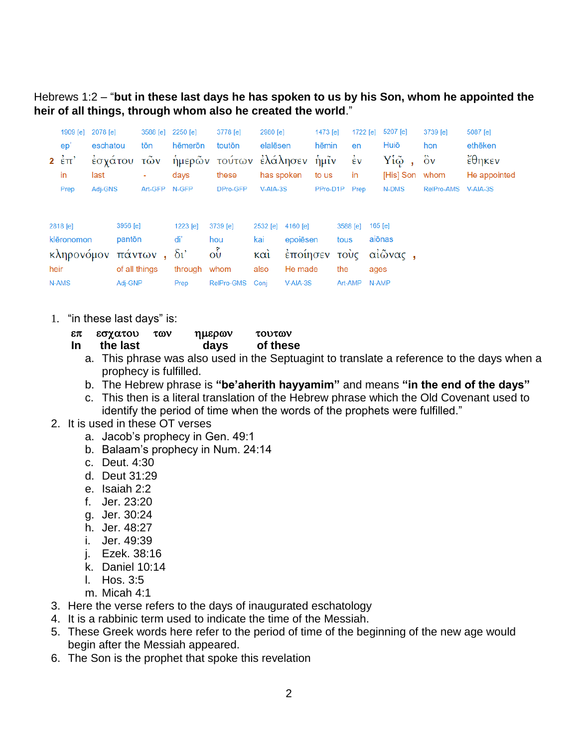Hebrews 1:2 – "**but in these last days he has spoken to us by his Son, whom he appointed the heir of all things, through whom also he created the world**."

|      | 1909 [e]<br>ep'<br>$2 \epsilon \pi$<br>in     | 2078 [e]<br>eschatou<br>last | έσγάτου                                        | 3588 [e]<br>tōn<br>τῶν<br>۰ | 2250 [e]<br>hēmerōn<br>ἡμερῶν<br>days            | 3778 [e]<br>toutōn<br>τούτων ελάλησεν<br>these                | 2980 [e]<br>elalēsen<br>has spoken     |                                                           | 1473 [e]<br>hēmin<br>ήμῖν<br>to us | en<br>in                                   | 1722 [e]<br>$\dot{\epsilon}$ v | 5207 [e]<br>Huiō<br>Υίῷ,<br>[His] Son whom | 3739 [e]<br>hon<br>$\delta v$ | 5087 [e]<br>ethēken<br>έθηκεν<br>He appointed |
|------|-----------------------------------------------|------------------------------|------------------------------------------------|-----------------------------|--------------------------------------------------|---------------------------------------------------------------|----------------------------------------|-----------------------------------------------------------|------------------------------------|--------------------------------------------|--------------------------------|--------------------------------------------|-------------------------------|-----------------------------------------------|
|      | Prep                                          | Adj-GNS                      |                                                | Art-GFP                     | N-GFP                                            | DPro-GFP                                                      | V-AIA-3S                               |                                                           | PPro-D1P                           |                                            | Prep                           | N-DMS                                      | RelPro-AMS                    | V-AIA-3S                                      |
| heir | 2818 [e]<br>klēronomon<br>κληρονόμον<br>N-AMS |                              | 3956 [e]<br>pantōn<br>of all things<br>Adj-GNP | πάντων,                     | 1223 [e]<br>di'<br>$\delta v$<br>through<br>Prep | 3739 [e]<br>hou<br>$\tilde{\mathrm{O}}$<br>whom<br>RelPro-GMS | 2532 [e]<br>kai<br>καὶ<br>also<br>Coni | 4160 [e]<br>epoiēsen<br>έποίησεν<br>He made<br>$V-AIA-3S$ |                                    | 3588 [e]<br>tous<br>τούς<br>the<br>Art-AMP | ages                           | $165$ [e]<br>aiōnas<br>αἰῶνας,<br>N-AMP    |                               |                                               |

1. "in these last days" is:

| επ  | εσχατου  | των | ημερων | τουτων   |
|-----|----------|-----|--------|----------|
| -In | the last |     | days   | of these |

- a. This phrase was also used in the Septuagint to translate a reference to the days when a prophecy is fulfilled.
- b. The Hebrew phrase is **"be'aherith hayyamim"** and means **"in the end of the days"**
- c. This then is a literal translation of the Hebrew phrase which the Old Covenant used to identify the period of time when the words of the prophets were fulfilled."
- 2. It is used in these OT verses
	- a. Jacob's prophecy in Gen. 49:1
	- b. Balaam's prophecy in Num. 24:14
	- c. Deut. 4:30
	- d. Deut 31:29
	- e. Isaiah 2:2
	- f. Jer. 23:20
	- g. Jer. 30:24
	- h. Jer. 48:27
	- i. Jer. 49:39
	- j. Ezek. 38:16
	- k. Daniel 10:14
	- l. Hos. 3:5
	- m. Micah 4:1
- 3. Here the verse refers to the days of inaugurated eschatology
- 4. It is a rabbinic term used to indicate the time of the Messiah.
- 5. These Greek words here refer to the period of time of the beginning of the new age would begin after the Messiah appeared.
- 6. The Son is the prophet that spoke this revelation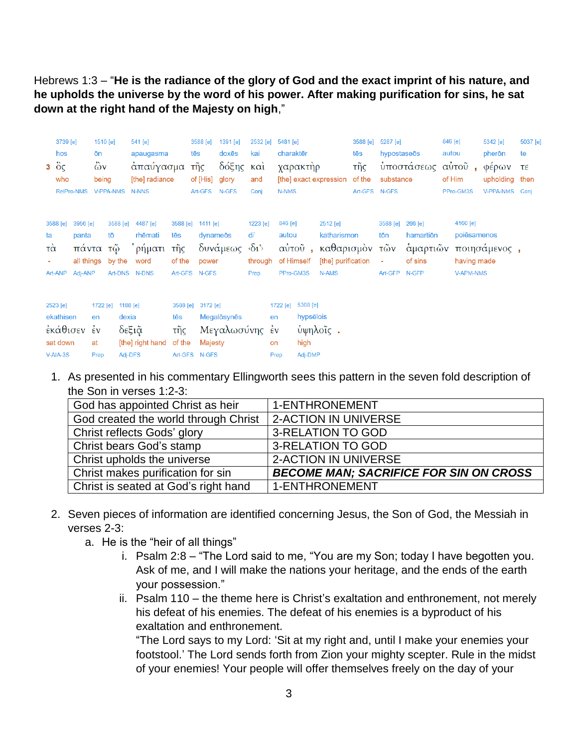Hebrews 1:3 – "**He is the radiance of the glory of God and the exact imprint of his nature, and he upholds the universe by the word of his power. After making purification for sins, he sat down at the right hand of the Majesty on high**,"

|                      | 3739 [e]<br>hos<br>$3\degree$ $\degree$ $\degree$<br>who<br>RelPro-NMS | 1510 [e]<br>ōn<br>$\ddot{\omega}$ v<br>being<br>V-PPA-NMS |                              | 541 [e]<br>apaugasma<br>απαύγασμα<br>[the] radiance<br>N-NNS |                                                            | 3588 [e]<br>tēs<br>τῆς<br>of [His] | 1391 [e]<br>doxēs<br>δόξης<br>glory<br>Art-GFS N-GFS | 2532 [e]<br>kai<br>$\kappa$ $\alpha$<br>and<br>Conj              | 5481 [e]<br>N-NMS            | charaktēr<br>χαρακτήρ                    | [the] exact expression                                                          | 3588 [e]<br>tēs<br>τῆς<br>of the<br>Art-GFS N-GFS | 5287 [e]<br>hypostaseōs<br>substance | υποστάσεως                                           | 846 [e]<br>autou<br>αὐτοῦ,<br>of Him<br>PPro-GM3S |                  | 5342 [e]<br>pherōn<br>φέρων<br>upholding<br>V-PPA-NMS | 5037 [e]<br>te<br>τε<br>then<br>Conj |
|----------------------|------------------------------------------------------------------------|-----------------------------------------------------------|------------------------------|--------------------------------------------------------------|------------------------------------------------------------|------------------------------------|------------------------------------------------------|------------------------------------------------------------------|------------------------------|------------------------------------------|---------------------------------------------------------------------------------|---------------------------------------------------|--------------------------------------|------------------------------------------------------|---------------------------------------------------|------------------|-------------------------------------------------------|--------------------------------------|
| ta<br>$\vec{\alpha}$ | 3956 [e]<br>3588 [e]<br>panta<br>Art-ANP<br>Adj-ANP                    | πάντα τῷ<br>all things                                    | 3588 [e]<br>tō<br>by the     | 4487 [e]<br>rhēmati<br>ρήματι<br>word<br>Art-DNS N-DNS       | 3588 [e]<br>tēs<br>τῆς<br>of the<br>Art-GFS N-GFS          | 1411 [e]<br>dynameōs<br>power      | δυνάμεως                                             | 1223 [e]<br>di'<br>$\langle \delta_1 \rangle$<br>through<br>Prep | 846 [e]<br>autou             | of Himself<br>PPro-GM3S                  | 2512 [e]<br>katharismon<br>αύτοῦ, καθαρισμὸν τῶν<br>[the] purification<br>N-AMS |                                                   | 3588 [e]<br>tōn<br>×<br>Art-GFP      | 266 [e]<br>hamartion<br>ἁμαρτιῶν<br>of sins<br>N-GFP | 4160 [e]                                          | <b>V-APM-NMS</b> | poiēsamenos<br>ποιησάμενος,<br>having made            |                                      |
|                      | 2523 [e]<br>ekathisen<br>εκάθισεν έν<br>sat down<br>$V-AIA-3S$         | 1722 [e]<br>en<br>at<br>Prep                              | 1188 [e]<br>dexia<br>Adj-DFS | δεξιᾶ<br>[the] right hand                                    | 3588 [e] 3172 [e]<br>tēs<br>τῆς<br>of the<br>Art-GFS N-GFS | Majesty                            | Megalosynes<br>Μεγαλωσύνης έν                        |                                                                  | 1722 [e]<br>en<br>on<br>Prep | 5308 [e]<br>hypsēlois<br>high<br>Adj-DMP | ύψηλοΐς.                                                                        |                                                   |                                      |                                                      |                                                   |                  |                                                       |                                      |

1. As presented in his commentary Ellingworth sees this pattern in the seven fold description of the Son in verses 1:2-3:

| God has appointed Christ as heir     | 1-ENTHRONEMENT                                |
|--------------------------------------|-----------------------------------------------|
| God created the world through Christ | 2-ACTION IN UNIVERSE                          |
| Christ reflects Gods' glory          | 3-RELATION TO GOD                             |
| Christ bears God's stamp             | 3-RELATION TO GOD                             |
| Christ upholds the universe          | 2-ACTION IN UNIVERSE                          |
| Christ makes purification for sin    | <b>BECOME MAN; SACRIFICE FOR SIN ON CROSS</b> |
| Christ is seated at God's right hand | 1-ENTHRONEMENT                                |

- 2. Seven pieces of information are identified concerning Jesus, the Son of God, the Messiah in verses 2-3:
	- a. He is the "heir of all things"
		- i. Psalm 2:8 "The Lord said to me, "You are my Son; today I have begotten you. Ask of me, and I will make the nations your heritage, and the ends of the earth your possession."
		- ii. Psalm 110 the theme here is Christ's exaltation and enthronement, not merely his defeat of his enemies. The defeat of his enemies is a byproduct of his exaltation and enthronement.

"The Lord says to my Lord: 'Sit at my right and, until I make your enemies your footstool.' The Lord sends forth from Zion your mighty scepter. Rule in the midst of your enemies! Your people will offer themselves freely on the day of your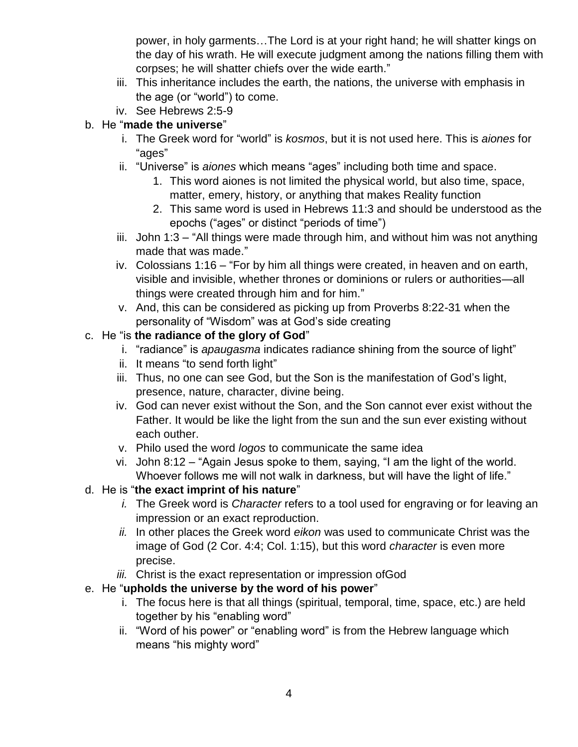power, in holy garments…The Lord is at your right hand; he will shatter kings on the day of his wrath. He will execute judgment among the nations filling them with corpses; he will shatter chiefs over the wide earth."

- iii. This inheritance includes the earth, the nations, the universe with emphasis in the age (or "world") to come.
- iv. See Hebrews 2:5-9

# b. He "**made the universe**"

- i. The Greek word for "world" is *kosmos*, but it is not used here. This is *aiones* for "ages"
- ii. "Universe" is *aiones* which means "ages" including both time and space.
	- 1. This word aiones is not limited the physical world, but also time, space, matter, emery, history, or anything that makes Reality function
	- 2. This same word is used in Hebrews 11:3 and should be understood as the epochs ("ages" or distinct "periods of time")
- iii. John 1:3 "All things were made through him, and without him was not anything made that was made."
- iv. Colossians 1:16 "For by him all things were created, in heaven and on earth, visible and invisible, whether thrones or dominions or rulers or authorities—all things were created through him and for him."
- v. And, this can be considered as picking up from Proverbs 8:22-31 when the personality of "Wisdom" was at God's side creating

# c. He "is **the radiance of the glory of God**"

- i. "radiance" is *apaugasma* indicates radiance shining from the source of light"
- ii. It means "to send forth light"
- iii. Thus, no one can see God, but the Son is the manifestation of God's light, presence, nature, character, divine being.
- iv. God can never exist without the Son, and the Son cannot ever exist without the Father. It would be like the light from the sun and the sun ever existing without each outher.
- v. Philo used the word *logos* to communicate the same idea
- vi. John 8:12 "Again Jesus spoke to them, saying, "I am the light of the world. Whoever follows me will not walk in darkness, but will have the light of life."

# d. He is "**the exact imprint of his nature**"

- *i.* The Greek word is *Character* refers to a tool used for engraving or for leaving an impression or an exact reproduction.
- *ii.* In other places the Greek word *eikon* was used to communicate Christ was the image of God (2 Cor. 4:4; Col. 1:15), but this word *character* is even more precise.
- *iii.* Christ is the exact representation or impression ofGod

# e. He "**upholds the universe by the word of his power**"

- i. The focus here is that all things (spiritual, temporal, time, space, etc.) are held together by his "enabling word"
- ii. "Word of his power" or "enabling word" is from the Hebrew language which means "his mighty word"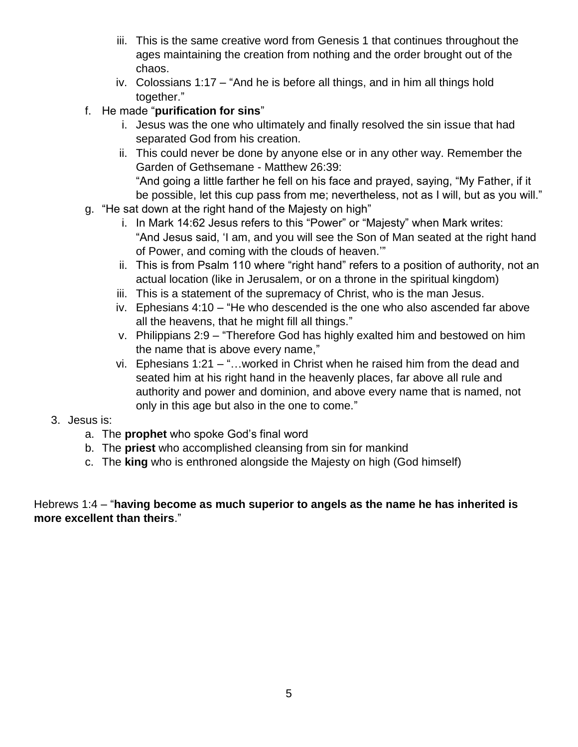- iii. This is the same creative word from Genesis 1 that continues throughout the ages maintaining the creation from nothing and the order brought out of the chaos.
- iv. Colossians 1:17 "And he is before all things, and in him all things hold together."

#### f. He made "**purification for sins**"

- i. Jesus was the one who ultimately and finally resolved the sin issue that had separated God from his creation.
- ii. This could never be done by anyone else or in any other way. Remember the Garden of Gethsemane - Matthew 26:39: "And going a little farther he fell on his face and prayed, saying, "My Father, if it be possible, let this cup pass from me; nevertheless, not as I will, but as you will."
- g. "He sat down at the right hand of the Majesty on high"
	- i. In Mark 14:62 Jesus refers to this "Power" or "Majesty" when Mark writes: "And Jesus said, 'I am, and you will see the Son of Man seated at the right hand of Power, and coming with the clouds of heaven.'"
	- ii. This is from Psalm 110 where "right hand" refers to a position of authority, not an actual location (like in Jerusalem, or on a throne in the spiritual kingdom)
	- iii. This is a statement of the supremacy of Christ, who is the man Jesus.
	- iv. Ephesians 4:10 "He who descended is the one who also ascended far above all the heavens, that he might fill all things."
	- v. Philippians 2:9 "Therefore God has highly exalted him and bestowed on him the name that is above every name,"
	- vi. Ephesians 1:21 "…worked in Christ when he raised him from the dead and seated him at his right hand in the heavenly places, far above all rule and authority and power and dominion, and above every name that is named, not only in this age but also in the one to come."

#### 3. Jesus is:

- a. The **prophet** who spoke God's final word
- b. The **priest** who accomplished cleansing from sin for mankind
- c. The **king** who is enthroned alongside the Majesty on high (God himself)

#### Hebrews 1:4 – "**having become as much superior to angels as the name he has inherited is more excellent than theirs**."